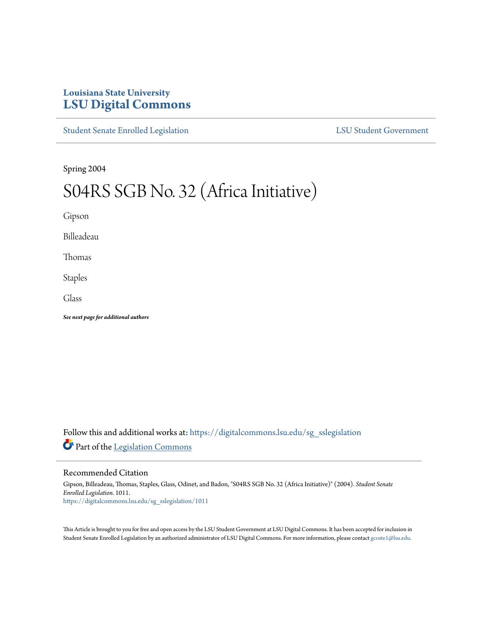## **Louisiana State University [LSU Digital Commons](https://digitalcommons.lsu.edu?utm_source=digitalcommons.lsu.edu%2Fsg_sslegislation%2F1011&utm_medium=PDF&utm_campaign=PDFCoverPages)**

[Student Senate Enrolled Legislation](https://digitalcommons.lsu.edu/sg_sslegislation?utm_source=digitalcommons.lsu.edu%2Fsg_sslegislation%2F1011&utm_medium=PDF&utm_campaign=PDFCoverPages) [LSU Student Government](https://digitalcommons.lsu.edu/sg?utm_source=digitalcommons.lsu.edu%2Fsg_sslegislation%2F1011&utm_medium=PDF&utm_campaign=PDFCoverPages)

Spring 2004

# S04RS SGB No. 32 (Africa Initiative)

Gipson

Billeadeau

Thomas

Staples

Glass

*See next page for additional authors*

Follow this and additional works at: [https://digitalcommons.lsu.edu/sg\\_sslegislation](https://digitalcommons.lsu.edu/sg_sslegislation?utm_source=digitalcommons.lsu.edu%2Fsg_sslegislation%2F1011&utm_medium=PDF&utm_campaign=PDFCoverPages) Part of the [Legislation Commons](http://network.bepress.com/hgg/discipline/859?utm_source=digitalcommons.lsu.edu%2Fsg_sslegislation%2F1011&utm_medium=PDF&utm_campaign=PDFCoverPages)

#### Recommended Citation

Gipson, Billeadeau, Thomas, Staples, Glass, Odinet, and Badon, "S04RS SGB No. 32 (Africa Initiative)" (2004). *Student Senate Enrolled Legislation*. 1011. [https://digitalcommons.lsu.edu/sg\\_sslegislation/1011](https://digitalcommons.lsu.edu/sg_sslegislation/1011?utm_source=digitalcommons.lsu.edu%2Fsg_sslegislation%2F1011&utm_medium=PDF&utm_campaign=PDFCoverPages)

This Article is brought to you for free and open access by the LSU Student Government at LSU Digital Commons. It has been accepted for inclusion in Student Senate Enrolled Legislation by an authorized administrator of LSU Digital Commons. For more information, please contact [gcoste1@lsu.edu.](mailto:gcoste1@lsu.edu)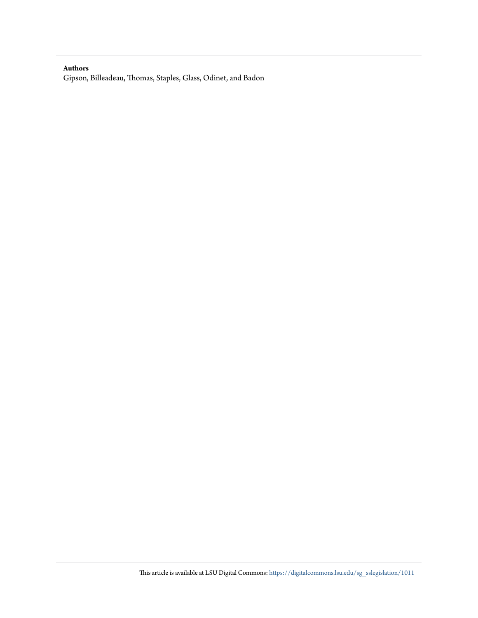#### **Authors**

Gipson, Billeadeau, Thomas, Staples, Glass, Odinet, and Badon